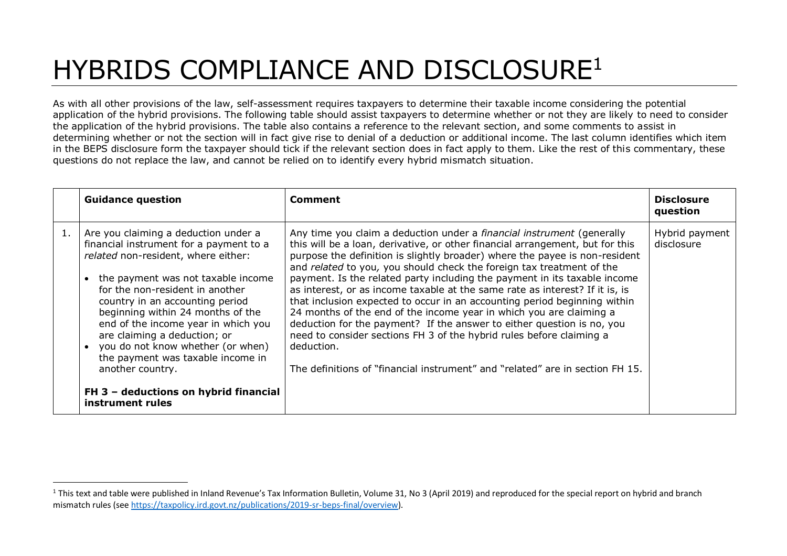## HYBRIDS COMPLIANCE AND DISCLOSURE<sup>1</sup>

As with all other provisions of the law, self-assessment requires taxpayers to determine their taxable income considering the potential application of the hybrid provisions. The following table should assist taxpayers to determine whether or not they are likely to need to consider the application of the hybrid provisions. The table also contains a reference to the relevant section, and some comments to assist in determining whether or not the section will in fact give rise to denial of a deduction or additional income. The last column identifies which item in the BEPS disclosure form the taxpayer should tick if the relevant section does in fact apply to them. Like the rest of this commentary, these questions do not replace the law, and cannot be relied on to identify every hybrid mismatch situation.

| <b>Guidance question</b>                                                                                                                                                                                                                                                                                                                                                                                                                                                                                  | Comment                                                                                                                                                                                                                                                                                                                                                                                                                                                                                                                                                                                                                                                                                                                                                                                                                                                                                  | <b>Disclosure</b><br>question |
|-----------------------------------------------------------------------------------------------------------------------------------------------------------------------------------------------------------------------------------------------------------------------------------------------------------------------------------------------------------------------------------------------------------------------------------------------------------------------------------------------------------|------------------------------------------------------------------------------------------------------------------------------------------------------------------------------------------------------------------------------------------------------------------------------------------------------------------------------------------------------------------------------------------------------------------------------------------------------------------------------------------------------------------------------------------------------------------------------------------------------------------------------------------------------------------------------------------------------------------------------------------------------------------------------------------------------------------------------------------------------------------------------------------|-------------------------------|
| Are you claiming a deduction under a<br>financial instrument for a payment to a<br>related non-resident, where either:<br>the payment was not taxable income<br>for the non-resident in another<br>country in an accounting period<br>beginning within 24 months of the<br>end of the income year in which you<br>are claiming a deduction; or<br>you do not know whether (or when)<br>the payment was taxable income in<br>another country.<br>FH 3 - deductions on hybrid financial<br>instrument rules | Any time you claim a deduction under a <i>financial instrument</i> (generally<br>this will be a loan, derivative, or other financial arrangement, but for this<br>purpose the definition is slightly broader) where the payee is non-resident<br>and related to you, you should check the foreign tax treatment of the<br>payment. Is the related party including the payment in its taxable income<br>as interest, or as income taxable at the same rate as interest? If it is, is<br>that inclusion expected to occur in an accounting period beginning within<br>24 months of the end of the income year in which you are claiming a<br>deduction for the payment? If the answer to either question is no, you<br>need to consider sections FH 3 of the hybrid rules before claiming a<br>deduction.<br>The definitions of "financial instrument" and "related" are in section FH 15. | Hybrid payment<br>disclosure  |

 $1$  This text and table were published in Inland Revenue's Tax Information Bulletin, Volume 31, No 3 (April 2019) and reproduced for the special report on hybrid and branch mismatch rules (see https://taxpolicy.ird.govt.nz/publications/2019-sr-beps-final/overview).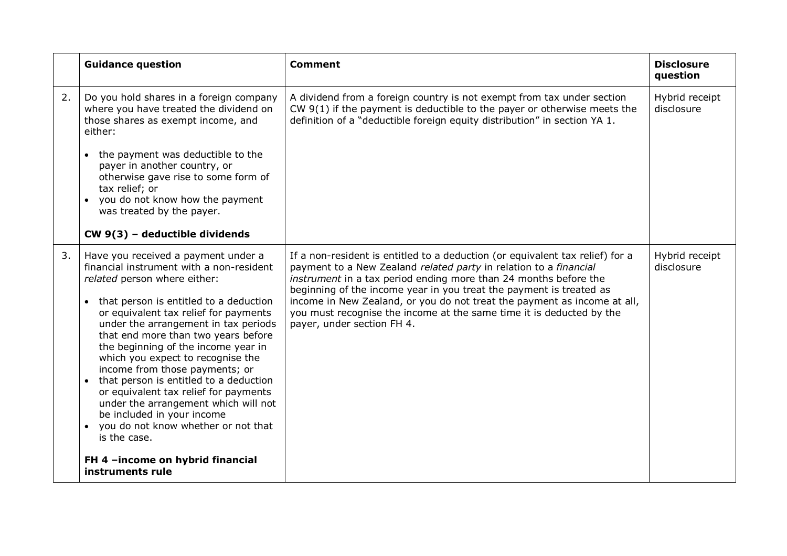|    | <b>Guidance question</b>                                                                                                                                                                                                                                                                                                                                                                                                                                                                                                                                                                                                                                                | <b>Comment</b>                                                                                                                                                                                                                                                                                                                                                                                                                                                                  | <b>Disclosure</b><br>question |
|----|-------------------------------------------------------------------------------------------------------------------------------------------------------------------------------------------------------------------------------------------------------------------------------------------------------------------------------------------------------------------------------------------------------------------------------------------------------------------------------------------------------------------------------------------------------------------------------------------------------------------------------------------------------------------------|---------------------------------------------------------------------------------------------------------------------------------------------------------------------------------------------------------------------------------------------------------------------------------------------------------------------------------------------------------------------------------------------------------------------------------------------------------------------------------|-------------------------------|
| 2. | Do you hold shares in a foreign company<br>where you have treated the dividend on<br>those shares as exempt income, and<br>either:<br>the payment was deductible to the<br>payer in another country, or<br>otherwise gave rise to some form of<br>tax relief; or<br>• you do not know how the payment<br>was treated by the payer.<br>CW 9(3) - deductible dividends                                                                                                                                                                                                                                                                                                    | A dividend from a foreign country is not exempt from tax under section<br>CW $9(1)$ if the payment is deductible to the payer or otherwise meets the<br>definition of a "deductible foreign equity distribution" in section YA 1.                                                                                                                                                                                                                                               | Hybrid receipt<br>disclosure  |
| 3. | Have you received a payment under a<br>financial instrument with a non-resident<br>related person where either:<br>that person is entitled to a deduction<br>or equivalent tax relief for payments<br>under the arrangement in tax periods<br>that end more than two years before<br>the beginning of the income year in<br>which you expect to recognise the<br>income from those payments; or<br>that person is entitled to a deduction<br>or equivalent tax relief for payments<br>under the arrangement which will not<br>be included in your income<br>you do not know whether or not that<br>is the case.<br>FH 4 -income on hybrid financial<br>instruments rule | If a non-resident is entitled to a deduction (or equivalent tax relief) for a<br>payment to a New Zealand related party in relation to a financial<br>instrument in a tax period ending more than 24 months before the<br>beginning of the income year in you treat the payment is treated as<br>income in New Zealand, or you do not treat the payment as income at all,<br>you must recognise the income at the same time it is deducted by the<br>payer, under section FH 4. | Hybrid receipt<br>disclosure  |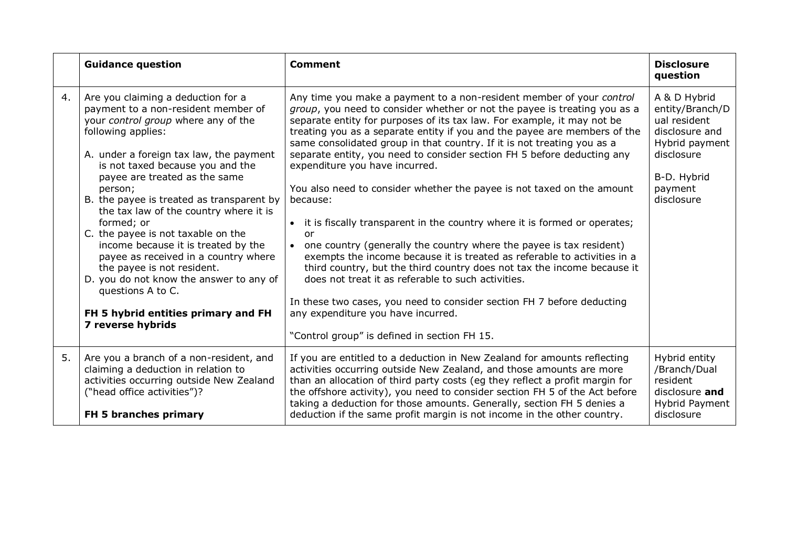|    | <b>Guidance question</b>                                                                                                                                                                                                                                                                                                                                                                                                                                                                                                                                                                                                                              | <b>Comment</b>                                                                                                                                                                                                                                                                                                                                                                                                                                                                                                                                                                                                                                                                                                                                                                                                                                                                                                                                                                                                                                                                                                                              | <b>Disclosure</b><br>question                                                                                                             |
|----|-------------------------------------------------------------------------------------------------------------------------------------------------------------------------------------------------------------------------------------------------------------------------------------------------------------------------------------------------------------------------------------------------------------------------------------------------------------------------------------------------------------------------------------------------------------------------------------------------------------------------------------------------------|---------------------------------------------------------------------------------------------------------------------------------------------------------------------------------------------------------------------------------------------------------------------------------------------------------------------------------------------------------------------------------------------------------------------------------------------------------------------------------------------------------------------------------------------------------------------------------------------------------------------------------------------------------------------------------------------------------------------------------------------------------------------------------------------------------------------------------------------------------------------------------------------------------------------------------------------------------------------------------------------------------------------------------------------------------------------------------------------------------------------------------------------|-------------------------------------------------------------------------------------------------------------------------------------------|
| 4. | Are you claiming a deduction for a<br>payment to a non-resident member of<br>your control group where any of the<br>following applies:<br>A. under a foreign tax law, the payment<br>is not taxed because you and the<br>payee are treated as the same<br>person;<br>B. the payee is treated as transparent by<br>the tax law of the country where it is<br>formed; or<br>C. the payee is not taxable on the<br>income because it is treated by the<br>payee as received in a country where<br>the payee is not resident.<br>D. you do not know the answer to any of<br>questions A to C.<br>FH 5 hybrid entities primary and FH<br>7 reverse hybrids | Any time you make a payment to a non-resident member of your control<br>group, you need to consider whether or not the payee is treating you as a<br>separate entity for purposes of its tax law. For example, it may not be<br>treating you as a separate entity if you and the payee are members of the<br>same consolidated group in that country. If it is not treating you as a<br>separate entity, you need to consider section FH 5 before deducting any<br>expenditure you have incurred.<br>You also need to consider whether the payee is not taxed on the amount<br>because:<br>it is fiscally transparent in the country where it is formed or operates;<br>or<br>one country (generally the country where the payee is tax resident)<br>$\bullet$<br>exempts the income because it is treated as referable to activities in a<br>third country, but the third country does not tax the income because it<br>does not treat it as referable to such activities.<br>In these two cases, you need to consider section FH 7 before deducting<br>any expenditure you have incurred.<br>"Control group" is defined in section FH 15. | A & D Hybrid<br>entity/Branch/D<br>ual resident<br>disclosure and<br>Hybrid payment<br>disclosure<br>B-D. Hybrid<br>payment<br>disclosure |
| 5. | Are you a branch of a non-resident, and<br>claiming a deduction in relation to<br>activities occurring outside New Zealand<br>("head office activities")?<br>FH 5 branches primary                                                                                                                                                                                                                                                                                                                                                                                                                                                                    | If you are entitled to a deduction in New Zealand for amounts reflecting<br>activities occurring outside New Zealand, and those amounts are more<br>than an allocation of third party costs (eg they reflect a profit margin for<br>the offshore activity), you need to consider section FH 5 of the Act before<br>taking a deduction for those amounts. Generally, section FH 5 denies a<br>deduction if the same profit margin is not income in the other country.                                                                                                                                                                                                                                                                                                                                                                                                                                                                                                                                                                                                                                                                        | Hybrid entity<br>/Branch/Dual<br>resident<br>disclosure and<br>Hybrid Payment<br>disclosure                                               |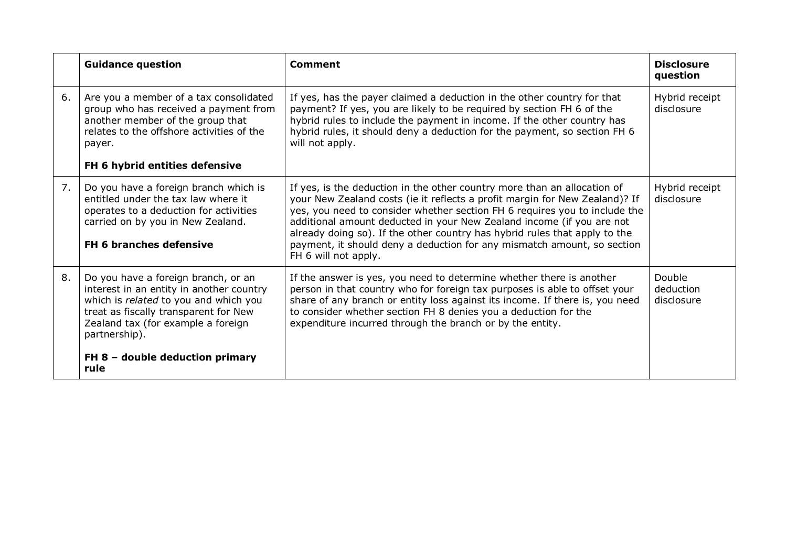|    | <b>Guidance question</b>                                                                                                                                                                                                 | <b>Comment</b>                                                                                                                                                                                                                                                                                                                                                                                                                                                                                  | <b>Disclosure</b><br>question     |
|----|--------------------------------------------------------------------------------------------------------------------------------------------------------------------------------------------------------------------------|-------------------------------------------------------------------------------------------------------------------------------------------------------------------------------------------------------------------------------------------------------------------------------------------------------------------------------------------------------------------------------------------------------------------------------------------------------------------------------------------------|-----------------------------------|
| 6. | Are you a member of a tax consolidated<br>group who has received a payment from<br>another member of the group that<br>relates to the offshore activities of the<br>payer.                                               | If yes, has the payer claimed a deduction in the other country for that<br>payment? If yes, you are likely to be required by section FH 6 of the<br>hybrid rules to include the payment in income. If the other country has<br>hybrid rules, it should deny a deduction for the payment, so section FH 6<br>will not apply.                                                                                                                                                                     | Hybrid receipt<br>disclosure      |
|    | FH 6 hybrid entities defensive                                                                                                                                                                                           |                                                                                                                                                                                                                                                                                                                                                                                                                                                                                                 |                                   |
| 7. | Do you have a foreign branch which is<br>entitled under the tax law where it<br>operates to a deduction for activities<br>carried on by you in New Zealand.<br><b>FH 6 branches defensive</b>                            | If yes, is the deduction in the other country more than an allocation of<br>your New Zealand costs (ie it reflects a profit margin for New Zealand)? If<br>yes, you need to consider whether section FH 6 requires you to include the<br>additional amount deducted in your New Zealand income (if you are not<br>already doing so). If the other country has hybrid rules that apply to the<br>payment, it should deny a deduction for any mismatch amount, so section<br>FH 6 will not apply. | Hybrid receipt<br>disclosure      |
| 8. | Do you have a foreign branch, or an<br>interest in an entity in another country<br>which is related to you and which you<br>treat as fiscally transparent for New<br>Zealand tax (for example a foreign<br>partnership). | If the answer is yes, you need to determine whether there is another<br>person in that country who for foreign tax purposes is able to offset your<br>share of any branch or entity loss against its income. If there is, you need<br>to consider whether section FH 8 denies you a deduction for the<br>expenditure incurred through the branch or by the entity.                                                                                                                              | Double<br>deduction<br>disclosure |
|    | FH $8$ – double deduction primary<br>rule                                                                                                                                                                                |                                                                                                                                                                                                                                                                                                                                                                                                                                                                                                 |                                   |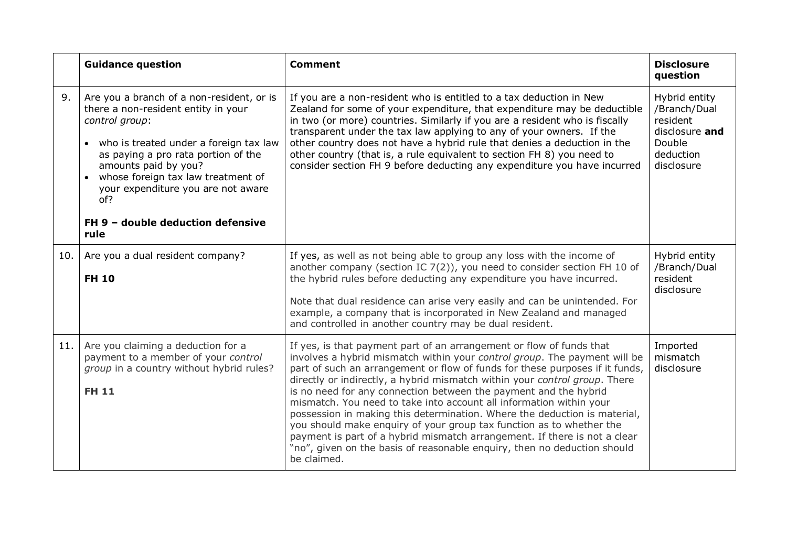|     | <b>Guidance question</b>                                                                                                                                                                                                                                                                                                              | <b>Comment</b>                                                                                                                                                                                                                                                                                                                                                                                                                                                                                                                                                                                                                                                                                                                                                                          | <b>Disclosure</b><br>question                                                                    |
|-----|---------------------------------------------------------------------------------------------------------------------------------------------------------------------------------------------------------------------------------------------------------------------------------------------------------------------------------------|-----------------------------------------------------------------------------------------------------------------------------------------------------------------------------------------------------------------------------------------------------------------------------------------------------------------------------------------------------------------------------------------------------------------------------------------------------------------------------------------------------------------------------------------------------------------------------------------------------------------------------------------------------------------------------------------------------------------------------------------------------------------------------------------|--------------------------------------------------------------------------------------------------|
| 9.  | Are you a branch of a non-resident, or is<br>there a non-resident entity in your<br>control group:<br>• who is treated under a foreign tax law<br>as paying a pro rata portion of the<br>amounts paid by you?<br>whose foreign tax law treatment of<br>your expenditure you are not aware<br>of?<br>FH 9 - double deduction defensive | If you are a non-resident who is entitled to a tax deduction in New<br>Zealand for some of your expenditure, that expenditure may be deductible<br>in two (or more) countries. Similarly if you are a resident who is fiscally<br>transparent under the tax law applying to any of your owners. If the<br>other country does not have a hybrid rule that denies a deduction in the<br>other country (that is, a rule equivalent to section FH 8) you need to<br>consider section FH 9 before deducting any expenditure you have incurred                                                                                                                                                                                                                                                | Hybrid entity<br>/Branch/Dual<br>resident<br>disclosure and<br>Double<br>deduction<br>disclosure |
|     | rule                                                                                                                                                                                                                                                                                                                                  |                                                                                                                                                                                                                                                                                                                                                                                                                                                                                                                                                                                                                                                                                                                                                                                         |                                                                                                  |
| 10. | Are you a dual resident company?<br><b>FH 10</b>                                                                                                                                                                                                                                                                                      | If yes, as well as not being able to group any loss with the income of<br>another company (section IC $7(2)$ ), you need to consider section FH 10 of<br>the hybrid rules before deducting any expenditure you have incurred.                                                                                                                                                                                                                                                                                                                                                                                                                                                                                                                                                           | Hybrid entity<br>/Branch/Dual<br>resident<br>disclosure                                          |
|     |                                                                                                                                                                                                                                                                                                                                       | Note that dual residence can arise very easily and can be unintended. For<br>example, a company that is incorporated in New Zealand and managed<br>and controlled in another country may be dual resident.                                                                                                                                                                                                                                                                                                                                                                                                                                                                                                                                                                              |                                                                                                  |
| 11. | Are you claiming a deduction for a<br>payment to a member of your control<br>group in a country without hybrid rules?<br><b>FH 11</b>                                                                                                                                                                                                 | If yes, is that payment part of an arrangement or flow of funds that<br>involves a hybrid mismatch within your control group. The payment will be<br>part of such an arrangement or flow of funds for these purposes if it funds,<br>directly or indirectly, a hybrid mismatch within your control group. There<br>is no need for any connection between the payment and the hybrid<br>mismatch. You need to take into account all information within your<br>possession in making this determination. Where the deduction is material,<br>you should make enquiry of your group tax function as to whether the<br>payment is part of a hybrid mismatch arrangement. If there is not a clear<br>"no", given on the basis of reasonable enguiry, then no deduction should<br>be claimed. | Imported<br>mismatch<br>disclosure                                                               |